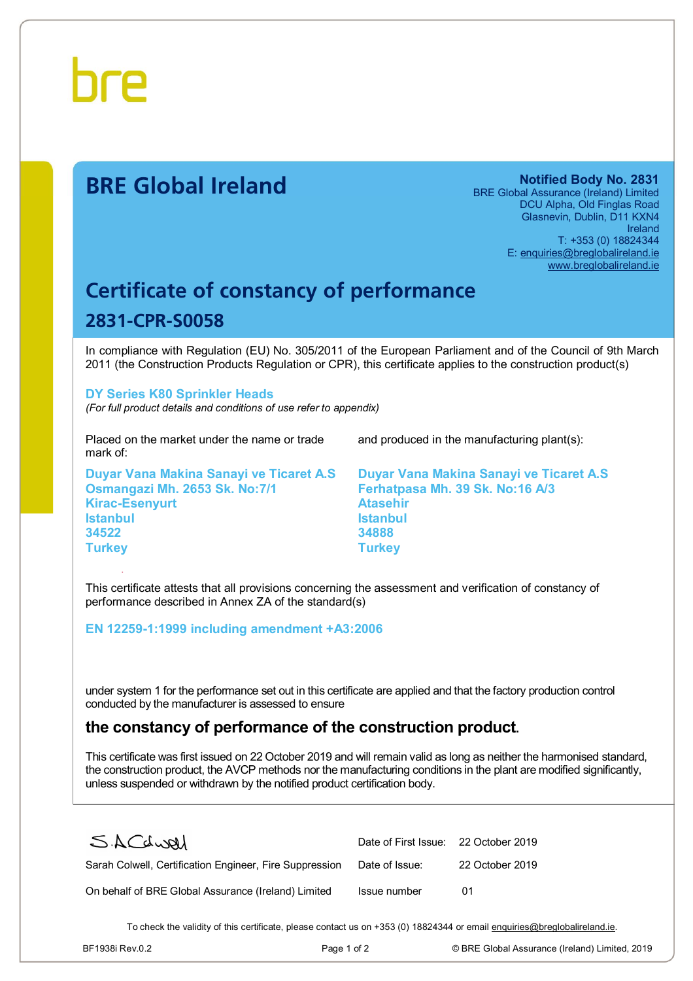

# **BRE Global Ireland Notified Body No. 2831**

BRE Global Assurance (Ireland) Limited DCU Alpha, Old Finglas Road Glasnevin, Dublin, D11 KXN4 Ireland T: +353 (0) 18824344 E: [enquiries@breglobalireland.ie](mailto:enquiries@breglobalireland.ie)  [www.breglobalireland.ie](http://www.breglobalireland.ie)

# **Certificate of constancy of performance 2831-CPR-S0058**

In compliance with Regulation (EU) No. 305/2011 of the European Parliament and of the Council of 9th March 2011 (the Construction Products Regulation or CPR), this certificate applies to the construction product(s)

#### **DY Series K80 Sprinkler Heads**

*(For full product details and conditions of use refer to appendix)* 

Placed on the market under the name or trade mark of:

**Duyar Vana Makina Sanayi ve Ticaret A.S Osmangazi Mh. 2653 Sk. No:7/1 Kirac-Esenyurt Istanbul 34522 Turkey** 

and produced in the manufacturing plant(s):

**Duyar Vana Makina Sanayi ve Ticaret A.S Ferhatpasa Mh. 39 Sk. No:16 A/3 Atasehir Istanbul 34888 Turkey** 

This certificate attests that all provisions concerning the assessment and verification of constancy of performance described in Annex ZA of the standard(s)

#### **EN 12259-1:1999 including amendment +A3:2006**

under system 1 for the performance set out in this certificate are applied and that the factory production control conducted by the manufacturer is assessed to ensure

## **the constancy of performance of the construction product.**

This certificate was first issued on 22 October 2019 and will remain valid as long as neither the harmonised standard, the construction product, the AVCP methods nor the manufacturing conditions in the plant are modified significantly, unless suspended or withdrawn by the notified product certification body.

| SACLURI                                                 | Date of First Issue: 22 October 2019 |                 |
|---------------------------------------------------------|--------------------------------------|-----------------|
| Sarah Colwell, Certification Engineer, Fire Suppression | Date of Issue:                       | 22 October 2019 |
| On behalf of BRE Global Assurance (Ireland) Limited     | Issue number                         | 01              |

To check the validity of this certificate, please contact us on +353 (0) 18824344 or email [enquiries@breglobalireland.ie](mailto:enquiries@breglobalireland.ie).